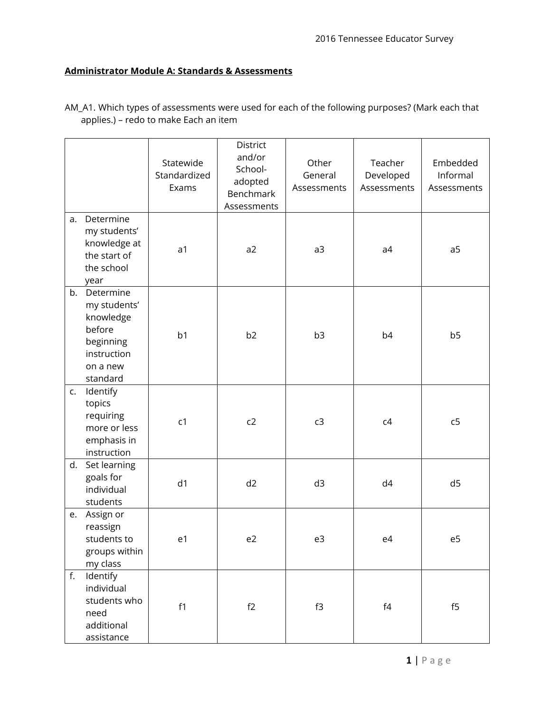## **Administrator Module A: Standards & Assessments**

|    |                                                                                                      | Statewide<br>Standardized<br>Exams | District<br>and/or<br>School-<br>adopted<br>Benchmark<br>Assessments | Other<br>General<br>Assessments | Teacher<br>Developed<br>Assessments                            | Embedded<br>Informal<br>Assessments |
|----|------------------------------------------------------------------------------------------------------|------------------------------------|----------------------------------------------------------------------|---------------------------------|----------------------------------------------------------------|-------------------------------------|
| a. | Determine<br>my students'<br>knowledge at<br>the start of<br>the school<br>year                      | a <sub>1</sub>                     | a2                                                                   | a3                              | a4                                                             | a5                                  |
| b. | Determine<br>my students'<br>knowledge<br>before<br>beginning<br>instruction<br>on a new<br>standard | b <sub>1</sub>                     | b2                                                                   | b <sub>3</sub>                  | b <sub>4</sub>                                                 | b <sub>5</sub>                      |
| c. | Identify<br>topics<br>requiring<br>more or less<br>emphasis in<br>instruction                        | c <sub>1</sub>                     | c2                                                                   | c3                              | c4                                                             | c <sub>5</sub>                      |
| d. | Set learning<br>goals for<br>individual<br>students                                                  | d <sub>1</sub>                     | d2                                                                   | d3                              | d4                                                             | d5                                  |
| e. | Assign or<br>reassign<br>students to<br>groups within<br>my class                                    | e1                                 | e2                                                                   | e3                              | e4                                                             | e5                                  |
| f. | Identify<br>individual<br>students who<br>need<br>additional<br>assistance                           | f1                                 | f2                                                                   | f3                              | $\ensuremath{\mathsf{f}}\xspace\ensuremath{\mathsf{4}}\xspace$ | f5                                  |

AM\_A1. Which types of assessments were used for each of the following purposes? (Mark each that applies.) – redo to make Each an item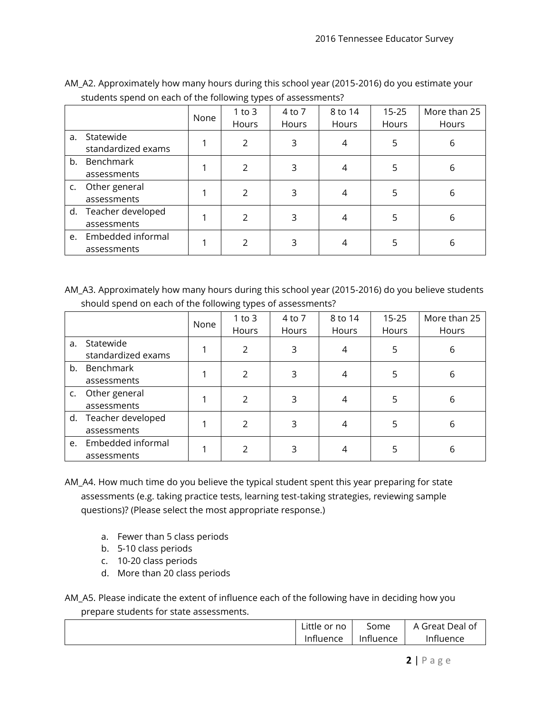|    |                                     | None | $1$ to $3$<br>Hours | 4 to 7<br>Hours | 8 to 14<br>Hours | $15 - 25$<br>Hours | More than 25<br>Hours |
|----|-------------------------------------|------|---------------------|-----------------|------------------|--------------------|-----------------------|
| a. | Statewide<br>standardized exams     |      | 2                   | 3               | 4                | 5                  | 6                     |
| b. | Benchmark<br>assessments            |      | C.                  | 3               | 4                | 5                  | 6                     |
| C. | Other general<br>assessments        |      | C.                  | 3               | 4                | 5                  | 6                     |
|    | d. Teacher developed<br>assessments |      | 2                   | 3               | 4                | 5                  | 6                     |
| e. | Embedded informal<br>assessments    |      | 2                   | 3               |                  | 5                  | 6                     |

AM\_A2. Approximately how many hours during this school year (2015-2016) do you estimate your students spend on each of the following types of assessments?

AM\_A3. Approximately how many hours during this school year (2015-2016) do you believe students should spend on each of the following types of assessments?

|    |                      | None | $1$ to $3$    | 4 to 7 | 8 to 14 | $15 - 25$ | More than 25 |
|----|----------------------|------|---------------|--------|---------|-----------|--------------|
|    |                      |      | Hours         | Hours  | Hours   | Hours     | Hours        |
| a. | Statewide            |      | 2             | 3      | 4       | 5         | 6            |
|    | standardized exams   |      |               |        |         |           |              |
| b. | Benchmark            |      | C.            | 3      | 4       | 5         | 6            |
|    | assessments          |      |               |        |         |           |              |
| C. | Other general        |      | $\mathcal{P}$ | 3      | 4       | 5         | 6            |
|    | assessments          |      |               |        |         |           |              |
|    | d. Teacher developed |      | 2             | 3      | 4       | 5         | 6            |
|    | assessments          |      |               |        |         |           |              |
| e. | Embedded informal    |      | 2             | 3      |         | 5         | 6            |
|    | assessments          |      |               |        |         |           |              |

- AM\_A4. How much time do you believe the typical student spent this year preparing for state assessments (e.g. taking practice tests, learning test-taking strategies, reviewing sample questions)? (Please select the most appropriate response.)
	- a. Fewer than 5 class periods
	- b. 5-10 class periods
	- c. 10-20 class periods
	- d. More than 20 class periods

AM\_A5. Please indicate the extent of influence each of the following have in deciding how you prepare students for state assessments.

| ∟ittle<br>or no | Some      | $A \cap$<br>Great Deal of |
|-----------------|-----------|---------------------------|
| Influence       | Influence | 'nfluence                 |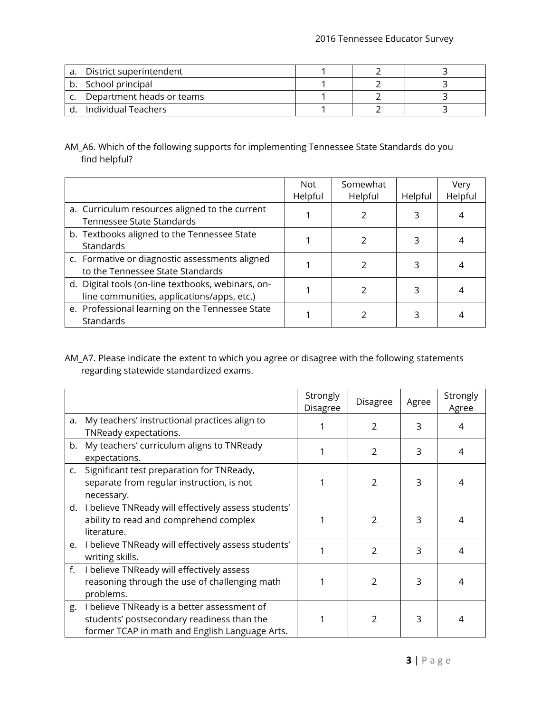| a. District superintendent   |  |  |
|------------------------------|--|--|
| b. School principal          |  |  |
| c. Department heads or teams |  |  |
| Individual Teachers          |  |  |

AM\_A6. Which of the following supports for implementing Tennessee State Standards do you find helpful?

|                                                                                                  | <b>Not</b><br>Helpful | Somewhat<br>Helpful | Helpful | Very<br>Helpful |
|--------------------------------------------------------------------------------------------------|-----------------------|---------------------|---------|-----------------|
| a. Curriculum resources aligned to the current<br>Tennessee State Standards                      |                       |                     | 3       |                 |
| b. Textbooks aligned to the Tennessee State<br>Standards                                         |                       |                     | 3       |                 |
| c. Formative or diagnostic assessments aligned<br>to the Tennessee State Standards               |                       |                     | 3       |                 |
| d. Digital tools (on-line textbooks, webinars, on-<br>line communities, applications/apps, etc.) |                       |                     | 3       |                 |
| e. Professional learning on the Tennessee State<br>Standards                                     |                       |                     |         |                 |

AM\_A7. Please indicate the extent to which you agree or disagree with the following statements regarding statewide standardized exams.

|    |                                                                                                                                             | Strongly<br>Disagree | <b>Disagree</b> | Agree | Strongly<br>Agree |
|----|---------------------------------------------------------------------------------------------------------------------------------------------|----------------------|-----------------|-------|-------------------|
| a. | My teachers' instructional practices align to<br>TNReady expectations.                                                                      |                      | $\mathcal{P}$   | 3     | 4                 |
|    | b. My teachers' curriculum aligns to TNReady<br>expectations.                                                                               |                      | $\mathcal{P}$   | 3     | 4                 |
|    | c. Significant test preparation for TNReady,<br>separate from regular instruction, is not<br>necessary.                                     |                      | $\mathcal{P}$   | 3     | 4                 |
|    | d. I believe TNReady will effectively assess students'<br>ability to read and comprehend complex<br>literature.                             |                      | $\mathcal{P}$   | 3     | 4                 |
|    | e. I believe TNReady will effectively assess students'<br>writing skills.                                                                   |                      | $\mathcal{P}$   | 3     | 4                 |
| f. | I believe TNReady will effectively assess<br>reasoning through the use of challenging math<br>problems.                                     |                      | $\overline{2}$  | 3     | 4                 |
| g. | I believe TNReady is a better assessment of<br>students' postsecondary readiness than the<br>former TCAP in math and English Language Arts. |                      | $\mathcal{P}$   | 3     | 4                 |